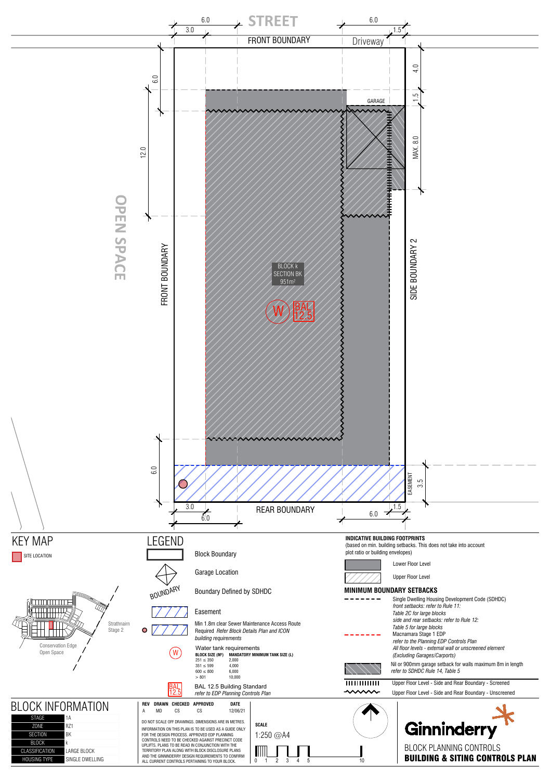